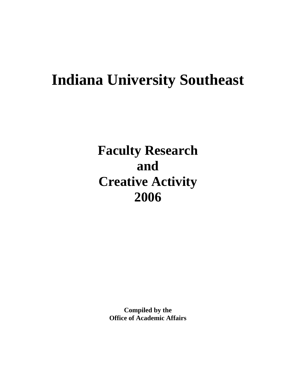# **Indiana University Southeast**

**Faculty Research and Creative Activity 2006**

> **Compiled by the Office of Academic Affairs**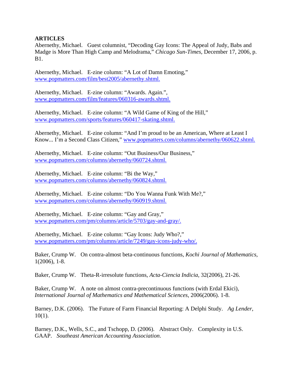## **ARTICLES**

Abernethy, Michael. Guest columnist, "Decoding Gay Icons: The Appeal of Judy, Babs and Madge is More Than High Camp and Melodrama," *Chicago Sun-Times*, December 17, 2006, p. B1.

Abernethy, Michael. E-zine column: "A Lot of Damn Emoting," www.popmatters.com/film/best2005/abernethy.shtml.

Abernethy, Michael. E-zine column: "Awards. Again.", www.popmatters.com/film/features/060316-awards.shtml.

Abernethy, Michael. E-zine column: "A Wild Game of King of the Hill," www.popmatters.com/sports/features/060417-skating.shtml.

Abernethy, Michael. E-zine column: "And I'm proud to be an American, Where at Least I Know... I'm a Second Class Citizen," www.popmatters.com/columns/abernethy/060622.shtml.

Abernethy, Michael. E-zine column: "Out Business/Our Business," www.popmatters.com/columns/abernethy/060724.shtml.

Abernethy, Michael. E-zine column: "Bi the Way," www.popmatters.com/columns/abernethy/060824.shtml.

Abernethy, Michael. E-zine column: "Do You Wanna Funk With Me?," www.popmatters.com/columns/abernethy/060919.shtml.

Abernethy, Michael. E-zine column: "Gay and Gray," www.popmatters.com/pm/columns/article/5703/gay-and-gray/.

Abernethy, Michael. E-zine column: "Gay Icons: Judy Who?," www.popmatters.com/pm/columns/article/7249/gay-icons-judy-who/.

Baker, Crump W. On contra-almost beta-continuous functions, *Kochi Journal of Mathematics*, 1(2006), 1-8.

Baker, Crump W. Theta-R-irresolute functions, *Acta-Ciencia Indicia,* 32(2006), 21-26.

Baker, Crump W. A note on almost contra-precontinuous functions (with Erdal Ekici), *International Journal of Mathematics and Mathematical Sciences*, 2006(2006). 1-8.

Barney, D.K. (2006). The Future of Farm Financial Reporting: A Delphi Study. *Ag Lender*,  $10(1)$ .

Barney, D.K., Wells, S.C., and Tschopp, D. (2006). Abstract Only. Complexity in U.S. GAAP. *Southeast American Accounting Association*.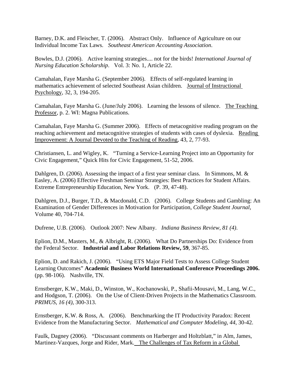Barney, D.K. and Fleischer, T. (2006). Abstract Only. Influence of Agriculture on our Individual Income Tax Laws. *Southeast American Accounting Association*.

Bowles, D.J. (2006). Active learning strategies.... not for the birds! *International Journal of Nursing Education Scholarship*. Vol. 3: No. 1, Article 22.

Camahalan, Faye Marsha G. (September 2006). Effects of self-regulated learning in mathematics achievement of selected Southeast Asian children. Journal of Instructional Psychology, 32, 3, 194-205.

Camahalan, Faye Marsha G. (June/July 2006). Learning the lessons of silence. The Teaching Professor, p. 2. WI: Magna Publications.

Camahalan, Faye Marsha G. (Summer 2006). Effects of metacognitive reading program on the reaching achievement and metacognitive strategies of students with cases of dyslexia. Reading Improvement: A Journal Devoted to the Teaching of Reading, 43, 2, 77-93.

Christiansen, L. and Wigley, K. "Turning a Service-Learning Project into an Opportunity for Civic Engagement," Quick Hits for Civic Engagement, 51-52, 2006.

Dahlgren, D. (2006). Assessing the impact of a first year seminar class. In Simmons, M. & Easley, A. (2006) Effective Freshman Seminar Strategies: Best Practices for Student Affairs. Extreme Entrepreneurship Education, New York. (P. 39, 47-48).

Dahlgren, D.J., Burger, T.D., & Macdonald, C.D. (2006). College Students and Gambling: An Examination of Gender Differences in Motivation for Participation, *College Student Journal*, Volume 40, 704-714.

Dufrene, U.B. (2006). Outlook 2007: New Albany. *Indiana Business Review, 81 (4)*.

Eplion, D.M., Masters, M., & Albright, R. (2006). What Do Partnerships Do: Evidence from the Federal Sector. **Industrial and Labor Relations Review, 59**, 367-85.

Eplion, D. and Rakich, J. (2006). "Using ETS Major Field Tests to Assess College Student Learning Outcomes" **Academic Business World International Conference Proceedings 2006.** (pp. 98-106). Nashville, TN.

Ernstberger, K.W., Maki, D., Winston, W., Kochanowski, P., Shafii-Mousavi, M., Lang, W.C., and Hodgson, T. (2006). On the Use of Client-Driven Projects in the Mathematics Classroom. *PRIMUS, 16 (4)*, 300-313.

Ernstberger, K.W. & Ross, A. (2006). Benchmarking the IT Productivity Paradox: Recent Evidence from the Manufacturing Sector. *Mathematical and Computer Modeling, 44*, 30-42.

Faulk, Dagney (2006). "Discussant comments on Harberger and Holtzblatt," in Alm, James, Martinez-Vazques, Jorge and Rider, Mark. The Challenges of Tax Reform in a Global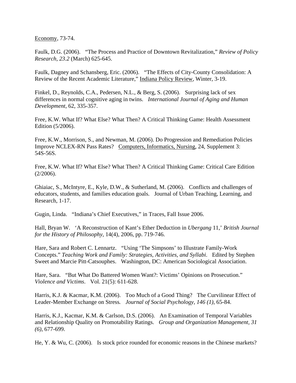Economy, 73-74.

Faulk, D.G. (2006). "The Process and Practice of Downtown Revitalization," *Review of Policy Research, 23.2* (March) 625-645.

Faulk, Dagney and Schansberg, Eric. (2006). "The Effects of City-County Consolidation: A Review of the Recent Academic Literature," Indiana Policy Review, Winter, 3-19.

Finkel, D., Reynolds, C.A., Pedersen, N.L., & Berg, S. (2006). Surprising lack of sex differences in normal cognitive aging in twins. *International Journal of Aging and Human Development*, 62, 335-357.

Free, K.W. What If? What Else? What Then? A Critical Thinking Game: Health Assessment Edition (5/2006).

Free, K.W., Morrison, S., and Newman, M. (2006). Do Progression and Remediation Policies Improve NCLEX-RN Pass Rates? Computers, Informatics, Nursing, 24, Supplement 3: 54S-56S.

Free, K.W. What If? What Else? What Then? A Critical Thinking Game: Critical Care Edition  $(2/2006)$ .

Ghiaiac, S., McIntyre, E., Kyle, D.W., & Sutherland, M. (2006). Conflicts and challenges of educators, students, and families education goals. Journal of Urban Teaching, Learning, and Research, 1-17.

Gugin, Linda. "Indiana's Chief Executives," in Traces, Fall Issue 2006.

Hall, Bryan W. 'A Reconstruction of Kant's Ether Deduction in *Ubergang* 11,' *British Journal for the History of Philosophy*, 14(4), 2006, pp. 719-746.

Hare, Sara and Robert C. Lennartz. "Using 'The Simpsons' to Illustrate Family-Work Concepts." *Teaching Work and Family: Strategies, Activities, and Syllabi*. Edited by Stephen Sweet and Marcie Pitt-Catsouphes. Washington, DC: American Sociological Association.

Hare, Sara. "But What Do Battered Women Want?: Victims' Opinions on Prosecution." *Violence and Victims*. Vol. 21(5): 611-628.

Harris, K.J. & Kacmar, K.M. (2006). Too Much of a Good Thing? The Curvilinear Effect of Leader-Member Exchange on Stress*. Journal of Social Psychology, 146 (1)*, 65-84.

Harris, K.J., Kacmar, K.M. & Carlson, D.S. (2006). An Examination of Temporal Variables and Relationship Quality on Promotability Ratings. *Group and Organization Management, 31 (6)*, 677-699.

He, Y. & Wu, C. (2006). Is stock price rounded for economic reasons in the Chinese markets?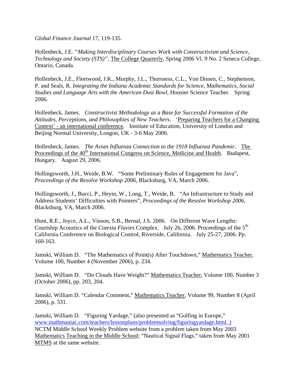*Global Finance Journal* 17, 119-135.

Hollenbeck, J.E. *"Making Interdisciplinary Courses Work with Constructivism and Science, Technology and Society (STS)"*, The College Quarterly, Spring 2006 Vl. 9 No. 2 Seneca College, Ontario, Canada.

Hollenbeck, J.E., Fleetwood, J.K., Murphy, J.L., Thorsness, C.L., Von Dissen, C., Stephenson, P. and Seals, R. *Integrating the Indiana Academic Standards for Science, Mathematics, Social Studies and Language Arts with the American Dust Bowl*, Hoosier Science Teacher. Spring 2006.

Hollenbeck, James. *Constructivist Methodology as a Base for Successful Formation of the Attitudes, Perceptions, and Philosophies of New Teachers.* 'Preparing Teachers for a Changing Context' - an international conference. Institute of Education, University of London and Beijing Normal University, Longon, UK - 3-6 May 2006.

Hollenbeck, James. *The Avian Influenza Connection to the 1918 Influenza Pandemic*. The Proceedings of the 40<sup>th</sup> International Congress on Science, Medicine and Health. Budapest, Hungary. August 29, 2006.

Hollingsworth, J.H., Weide, B.W. "Some Preliminary Rules of Engagement for Java", *Proceedings of the Resolve Workshop 2006*, Blacksburg, VA, March 2006.

Hollingsworth, J., Bucci, P., Heym, W., Long, T., Weide, B. "An Infrastructure to Study and Address Students' Difficulties with Pointers", *Proceedings of the Resolve Workshop 2006*, Blacksburg, VA, March 2006.

Hunt, R.E., Joyce, A.L., Vinson, S.B., Bernal, J.S. 2006. On Different Wave Lengths: Courtship Acoustics of the *Cotesia Flavies* Complex. July 26, 2006. Proceedings of the 5th California Conference on Biological Control, Riverside, California. July 25-27, 2006. Pp. 160-163.

Jamski, William D. "The Mathematics of Point(s) After Touchdown," Mathematics Teacher, Volume 100, Number 4 (November 2006), p. 234.

Jamski, William D. "Do Clouds Have Weight?" Mathematics Teacher, Volume 100, Number 3 (October 2006), pp. 203, 204.

Jamski, William D. "Calendar Comment," Mathematics Teacher, Volume 99, Number 8 (April 2006), p. 531.

Jamski, William D. "Figuring Yardage," (also presented as "Golfing in Europe," www.mathmaniac.com/teachers/lessonplans/problemsolving/figuringyardage.html. ) NCTM Middle School Weekly Problem website from a problem taken from May 2003 Mathematics Teaching in the Middle School; "Nautical Signal Flags," taken from May 2001 MTMS at the same website.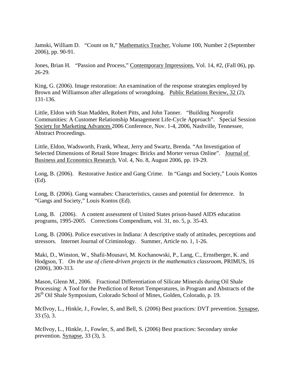Jamski, William D. "Count on It," Mathematics Teacher, Volume 100, Number 2 (September 2006), pp. 90-91.

Jones, Brian H. "Passion and Process," Contemporary Impressions, Vol. 14, #2, (Fall 06), pp. 26-29.

King, G. (2006). Image restoration: An examination of the response strategies employed by Brown and Williamson after allegations of wrongdoing. Public Relations Review, 32 (2), 131-136.

Little, Eldon with Stan Madden, Robert Pitts, and John Tanner. "Building Nonprofit Communities: A Customer Relationship Management Life-Cycle Approach". Special Session Society for Marketing Advances 2006 Conference, Nov. 1-4, 2006, Nashville, Tennessee, Abstract Proceedings.

Little, Eldon, Wadsworth, Frank, Wheat, Jerry and Swartz, Brenda. "An Investigation of Selected Dimensions of Retail Store Images: Bricks and Morter versus Online". Journal of Business and Economics Research, Vol. 4, No. 8, August 2006, pp. 19-29.

Long, B. (2006). Restorative Justice and Gang Crime. In "Gangs and Society," Louis Kontos (Ed).

Long, B. (2006). Gang wannabes: Characteristics, causes and potential for deterrence. In "Gangs and Society," Louis Kontos (Ed).

Long, B. (2006). A content assessment of United States prison-based AIDS education programs, 1995-2005. Corrections Compendium, vol. 31, no. 5, p. 35-43.

Long, B. (2006). Police executives in Indiana: A descriptive study of attitudes, perceptions and stressors. Internet Journal of Criminology. Summer, Article no. 1, 1-26.

Maki, D., Winston, W., Shafii-Mousavi, M. Kochanowski, P., Lang, C., Ernstberger, K. and Hodgson, T. *On the use of client-driven projects in the mathematics classroom*, PRIMUS, 16 (2006), 300-313.

Mason, Glenn M., 2006. Fractional Differentiation of Silicate Minerals during Oil Shale Processing: A Tool for the Prediction of Retort Temperatures, in Program and Abstracts of the 26<sup>th</sup> Oil Shale Symposium, Colorado School of Mines, Golden, Colorado, p. 19.

McIlvoy, L., Hinkle, J., Fowler, S, and Bell, S. (2006) Best practices: DVT prevention. Synapse, 33 (5), 3.

McIlvoy, L., Hinkle, J., Fowler, S, and Bell, S. (2006) Best practices: Secondary stroke prevention. Synapse, 33 (3), 3.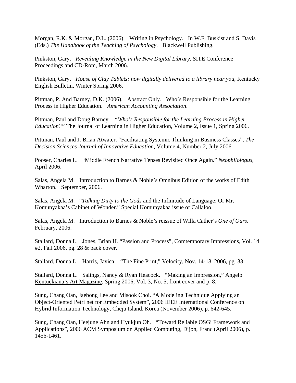Morgan, R.K. & Morgan, D.L. (2006). Writing in Psychology. In W.F. Buskist and S. Davis (Eds.) *The Handbook of the Teaching of Psychology*. Blackwell Publishing.

Pinkston, Gary. *Revealing Knowledge in the New Digital Library*, SITE Conference Proceedings and CD-Rom, March 2006.

Pinkston, Gary. *House of Clay Tablets: now digitally delivered to a library near you*, Kentucky English Bulletin, Winter Spring 2006.

Pittman, P. And Barney, D.K. (2006). Abstract Only. Who's Responsible for the Learning Process in Higher Education. *American Accounting Association*.

Pittman, Paul and Doug Barney. *"Who's Responsible for the Learning Process in Higher Education?"* The Journal of Learning in Higher Education, Volume 2, Issue 1, Spring 2006.

Pittman, Paul and J. Brian Atwater. "Facilitating Systemic Thinking in Business Classes", *The Decision Sciences Journal of Innovative Education*, Volume 4, Number 2, July 2006.

Pooser, Charles L. "Middle French Narrative Tenses Revisited Once Again." *Neophilologus*, April 2006.

Salas, Angela M. Introduction to Barnes & Noble's Omnibus Edition of the works of Edith Wharton. September, 2006.

Salas, Angela M. "*Talking Dirty to the Gods* and the Infinitude of Language: Or Mr. Komunyakaa's Cabinet of Wonder." Special Komunyakaa issue of Callaloo.

Salas, Angela M. Introduction to Barnes & Noble's reissue of Willa Cather's *One of Ours*. February, 2006.

Stallard, Donna L. Jones, Brian H. "Passion and Process", Comtemporary Impressions, Vol. 14 #2, Fall 2006, pg. 28 & back cover.

Stallard, Donna L. Harris, Javica. "The Fine Print," Velocity, Nov. 14-18, 2006, pg. 33.

Stallard, Donna L. Salings, Nancy & Ryan Heacock. "Making an Impression," Angelo Kentuckiana's Art Magazine, Spring 2006, Vol. 3, No. 5, front cover and p. 8.

Sung, Chang Oan, Jaebong Lee and Misook Choi. "A Modeling Technique Applying an Object-Oriented Petri net for Embedded System", 2006 IEEE International Conference on Hybrid Information Technology, Cheju Island, Korea (November 2006), p. 642-645.

Sung, Chang Oan, Heejune Ahn and Hyukjun Oh. "Toward Reliable OSGi Framework and Applications", 2006 ACM Symposium on Applied Computing, Dijon, Franc (April 2006), p. 1456-1461.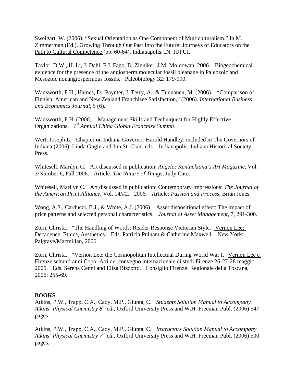Sweigart, W. (2006). "Sexual Orientation as One Component of Multiculturalism." In M. Zimmerman (Ed.). Growing Through Our Past Into the Future: Journeys of Educators on the Path to Cultural Competence (pp. 60-64). Indianapolis, IN: IUPUI.

Taylor, D.W., H. Li, J. Dahl, F.J. Fago, D. Zinniker, J.M. Moldowan. 2006. Biogeochemical evidence for the presence of the angiosperm molecular fossil oleanane in Paleozoic and Mesozoic nonangiospermous fossils. Paleobiology 32: 179-190.

Wadsworth, F.H., Haines, D., Paynter, J. Terry, A., & Tunnanen, M. (2006). "Comparison of Finnish, American and New Zealand Franchisee Satisfaction," (2006). *International Business and Economics Journal*, 5 (6).

Wadsworth, F.H. (2006). Management Skills and Techniquest for Highly Effective Organizations. *1 st Annual China Global Franchise Summit*.

Wert, Joseph L. Chapter on Indiana Governor Harold Handley, included in The Governors of Indiana (2006). Linda Gugin and Jim St. Clair, eds. Indianapolis: Indiana Historical Society Press.

Whitesell, Marilyn C. Art discussed in publication: *Angelo: Kentuckiana's Art Magazine*, Vol. 3/Number 6, Fall 2006. Article: *The Nature of Things*, Judy Cato.

Whitesell, Marilyn C. Art discussed in publication: Contemporary Impressions: *The Journal of the American Print Alliance*, Vol. 14/#2. 2006. Article: *Passion and Process*, Brian Jones.

Wong, A.S., Carducci, B.J., & White, A.J. (2006). Asset dispositional effect: The impact of price patterns and selected personal characteristics. *Journal of Asset Management*, 7, 291-300.

Zorn, Christa. "The Handling of Words: Reader Response Victorian Style." Vernon Lee: Decadence, Ethics, Aesthetics. Eds. Patricia Pulham & Catherine Maxwell. New York: Palgrave/Macmillan, 2006.

Zorn, Christa. "Vernon Lee: the Cosmopolitan Intellectual During World War I." Vernon Lee e Firenze settant' anni Copo: Atti del convegno internazionale di studi Firenze 26-27-28 maggio 2005. Eds. Serena Cenni and Eliza Bizzotto. Consiglio Firenze: Regionale della Toscana, 2006: 255-69.

# **BOOKS**

Atkins, P.W., Trapp, C.A., Cady, M.P., Giunta, C. *Students Solution Manual to Accompany Atkins' Physical Chemistry 8th ed.*, Oxford University Press and W.H. Freeman Publ. (2006) 547 pages.

Atkins, P.W., Trapp, C.A., Cady, M.P., Giunta, C. *Instructors Solution Manual to Accompany Atkins' Physical Chemistry 7th ed.*, Oxford University Press and W.H. Freeman Publ. (2006) 500 pages.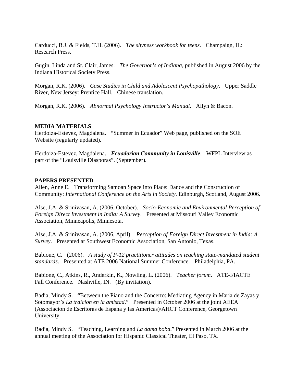Carducci, B.J. & Fields, T.H. (2006). *The shyness workbook for teens*. Champaign, IL: Research Press.

Gugin, Linda and St. Clair, James. *The Governor's of Indiana*, published in August 2006 by the Indiana Historical Society Press.

Morgan, R.K. (2006). *Case Studies in Child and Adolescent Psychopathology*. Upper Saddle River, New Jersey: Prentice Hall. Chinese translation.

Morgan, R.K. (2006). *Abnormal Psychology Instructor's Manual*. Allyn & Bacon.

## **MEDIA MATERIALS**

Herdoiza-Estevez, Magdalena. "Summer in Ecuador" Web page, published on the SOE Website (regularly updated).

Herdoiza-Estevez, Magdalena. *Ecuadorian Community in Louisville*. WFPL Interview as part of the "Louisville Diasporas". (September).

#### **PAPERS PRESENTED**

Allen, Anne E. Transforming Samoan Space into Place: Dance and the Construction of Community: *International Conference on the Arts in Society*. Edinburgh, Scotland, August 2006.

Alse, J.A. & Srinivasan, A. (2006, October). *Socio-Economic and Environmental Perception of Foreign Direct Investment in India: A Survey*. Presented at Missouri Valley Economic Association, Minneapolis, Minnesota.

Alse, J.A. & Srinivasan, A. (2006, April). *Perception of Foreign Direct Investment in India: A Survey*. Presented at Southwest Economic Association, San Antonio, Texas.

Babione, C. (2006). *A study of P-12 practitioner attitudes on teaching state-mandated student standards*. Presented at ATE 2006 National Summer Conference. Philadelphia, PA.

Babione, C., Atkins, R., Anderkin, K., Nowling, L. (2006). *Teacher forum*. ATE-I/IACTE Fall Conference. Nashville, IN. (By invitation).

Badia, Mindy S. "Between the Piano and the Concerto: Mediating Agency in Maria de Zayas y Sotomayor's *La traicion en la amistad*." Presented in October 2006 at the joint AEEA (Associacion de Escritoras de Espana y las Americas)/AHCT Conference, Georgetown University.

Badia, Mindy S. "Teaching, Learning and *La dama boba*." Presented in March 2006 at the annual meeting of the Association for Hispanic Classical Theater, El Paso, TX.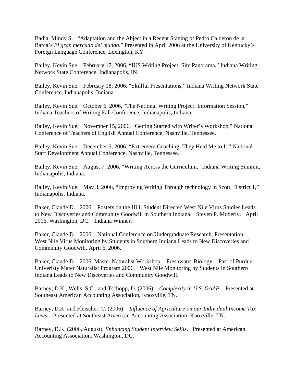Badia, Mindy S. "Adaptation and the Abject in a Recent Staging of Pedro Calderon de la Barca's *El gran mercado del mundo*." Presented in April 2006 at the University of Kentucky's Foreign Language Conference, Lexington, KY.

Bailey, Kevin Sue. February 17, 2006, "IUS Writing Project: Site Panorama," Indiana Writing Network State Conference, Indianapolis, IN.

Bailey, Kevin Sue. February 18, 2006, "Skillful Presentations," Indiana Writing Network State Conference, Indianapolis, Indiana.

Bailey, Kevin Sue. October 6, 2006, "The National Writing Project: Information Session," Indiana Teachers of Writing Fall Conference, Indianapolis, Indiana.

Bailey, Kevin Sue. November 15, 2006, "Getting Started with Writer's Workshop," National Conference of Teachers of English Annual Conference, Nashville, Tennessee.

Bailey, Kevin Sue. December 5, 2006, "Extremem Coaching: They Held Me to It," National Staff Development Annual Conference, Nashville, Tennessee.

Bailey, Kevin Sue. August 7, 2006, "Writing Across the Curriculum," Indiana Writing Summit, Indianapolis, Indiana.

Bailey, Kevin Sue. May 3, 2006, "Improving Writing Through technology in Scott, District 1," Indianapolis, Indiana.

Baker, Claude D. 2006. Posters on the Hill, Student Directed West Nile Virus Studies Leads to New Discoveries and Community Goodwill in Southern Indiana. Steven P. Moberly. April 2006, Washington, DC. Indiana Winner.

Baker, Claude D. 2006. National Conference on Undergraduate Research, Presentation. West Nile Virus Monitoring by Students in Southern Indiana Leads to New Discoveries and Community Goodwill. April 6, 2006.

Baker, Claude D. 2006, Master Naturalist Workshop. Freshwater Biology. Past of Purdue Univeristy Mater Naturalist Program 2006. West Nile Monitoring by Students in Southern Indiana Leads to New Discoveries and Community Goodwill.

Barney, D.K., Wells, S.C., and Tschopp, D. (2006). *Complexity in U.S. GAAP*. Presented at Southeast American Accounting Association, Knoxville, TN.

Barney, D.K. and Fleischer, T. (2006). *Influence of Agriculture on our Individual Income Tax Laws*. Presented at Southeast American Accounting Association, Knoxville, TN.

Barney, D.K. (2006, August). *Enhancing Student Interview Skills*. Presented at American Accounting Association. Washington, DC.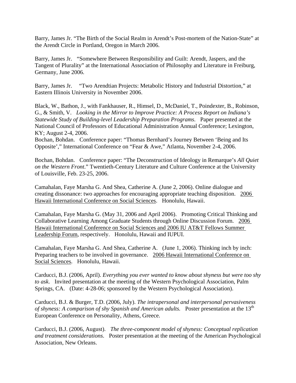Barry, James Jr. "The Birth of the Social Realm in Arendt's Post-mortem of the Nation-State" at the Arendt Circle in Portland, Oregon in March 2006.

Barry, James Jr. "Somewhere Between Responsibility and Guilt: Arendt, Jaspers, and the Tangent of Plurality" at the International Association of Philosophy and Literature in Freiburg, Germany, June 2006.

Barry, James Jr. "Two Arendtian Projects: Metabolic History and Industrial Distortion," at Eastern Illinois University in November 2006.

Black, W., Bathon, J., with Fankhauser, R., Himsel, D., McDaniel, T., Poindexter, B., Robinson, G., & Smith, V. *Looking in the Mirror to Improve Practice: A Process Report on Indiana's Statewide Study of Building-level Leadership Preparation Programs*. Paper presented at the National Council of Professors of Educational Administration Annual Conference; Lexington, KY; August 2-4, 2006.

Bochan, Bohdan. Conference paper: "Thomas Bernhard's Journey Between 'Being and Its Opposite'," International Conference on "Fear & Awe," Atlanta, November 2-4, 2006.

Bochan, Bohdan. Conference paper: "The Deconstruction of Ideology in Remarque's *All Quiet on the Western Front*." Twentieth-Century Literature and Culture Conference at the University of Louisville, Feb. 23-25, 2006.

Camahalan, Faye Marsha G. And Shea, Catherine A. (June 2, 2006). Online dialogue and creating dissonance: two approaches for encouraging appropriate teaching disposition. 2006 Hawaii International Conference on Social Sciences. Honolulu, Hawaii.

Camahalan, Faye Marsha G. (May 31, 2006 and April 2006). Promoting Critical Thinking and Collaborative Learning Among Graduate Students through Online Discussion Forum. 2006 Hawaii International Conference on Social Sciences and 2006 IU AT&T Fellows Summer Leadership Forum, respectively. Honolulu, Hawaii and IUPUI.

Camahalan, Faye Marsha G. And Shea, Catherine A. (June 1, 2006). Thinking inch by inch: Preparing teachers to be involved in governance. 2006 Hawaii International Conference on Social Sciences. Honolulu, Hawaii.

Carducci, B.J. (2006, April). *Everything you ever wanted to know about shyness but were too shy to ask*. Invited presentation at the meeting of the Western Psychological Association, Palm Springs, CA. (Date: 4-28-06; sponsored by the Western Psychological Association).

Carducci, B.J. & Burger, T.D. (2006, July). *The intrapersonal and interpersonal pervasiveness of shyness: A comparison of shy Spanish and American adults.* Poster presentation at the 13<sup>th</sup> European Conference on Personality, Athens, Greece.

Carducci, B.J. (2006, August). *The three-component model of shyness: Conceptual replication and treatment considerations*. Poster presentation at the meeting of the American Psychological Association, New Orleans.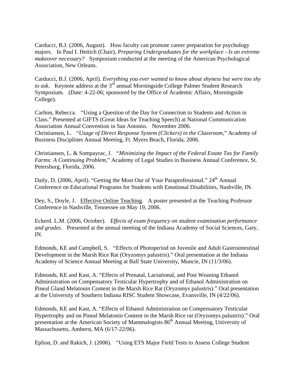Carducci, B.J. (2006, August). How faculty can promote career preparation for psychology majors. In Paul I. Hettich (Chair), *Preparing Undergraduates for the workplace - Is an extreme makeover necessary?* Symposium conducted at the meeting of the American Psychological Association, New Orleans.

Carducci, B.J. (2006, April). *Everything you ever wanted to know about shyness but were too shy to ask*. Keynote address at the 3rd annual Morningside College Palmer Student Research Symposium. (Date: 4-22-06; sponsored by the Office of Academic Affairs, Morningside College).

Carlton, Rebecca. "Using a Question of the Day for Connection to Students and Action in Class." Presented at GIFTS (Great Ideas for Teaching Speech) at National Communication Association Annual Convention in San Antonio. November 2006. Christiansen, L. "*Usage of Direct Response System (Clickers) in the Classroom*," Academy of Business Disciplines Annual Meeting, Ft. Myers Beach, Florida, 2006.

Christiansen, L. & Sompayrac, J. "*Minimizing the Impact of the Federal Estate Tax for Family Farms: A Continuing Problem*," Academy of Legal Studies in Business Annual Conference, St. Petersburg, Florida, 2006.

Daily, D. (2006, April). "Getting the Most Our of Your Paraprofessional." 24<sup>th</sup> Annual Conference on Educational Programs for Students with Emotional Disabilities, Nashville, IN.

Dey, S., Doyle, J. Effective Online Teaching. A poster presented at the Teaching Professor Conference in Nashville, Tennessee on May 19, 2006.

Eckerd. L.M. (2006, October). *Effects of exam frequency on student examination performance and grades*. Presented at the annual meeting of the Indiana Academy of Social Sciences, Gary, IN.

Edmonds, KE and Campbell, S. "Effects of Photoperiod on Juvenile and Adult Gastrointestinal Development in the Marsh Rice Rat (Oryzomys palustris)." Oral presentation at the Indiana Academy of Science Annual Meeting at Ball State University, Muncie, IN (11/3/06).

Edmonds, KE and Kast, A. "Effects of Prenatal, Lactational, and Post Weaning Ethanol Administration on Compensatory Testicular Hypertrophy and of Ethanol Administration on Pineal Gland Melatonin Content in the Marsh Rice Rat (Oryzomys palustris)." Oral presentation at the University of Southern Indiana RISC Student Showcase, Evansville, IN (4/22/06).

Edmonds, KE and Kast, A. "Effects of Ethanol Administration on Compensatory Testicular Hypertrophy and on Pineal Melatonin Content in the Marsh Rice rat (Oryzomys palustris)." Oral presentation at the American Society of Mammalogists  $86<sup>th</sup>$  Annual Meeting, University of Massachusetts, Amherst, MA (6/17-22/06).

Eplion, D. and Rakich, J. (2006). "Using ETS Major Field Tests to Assess College Student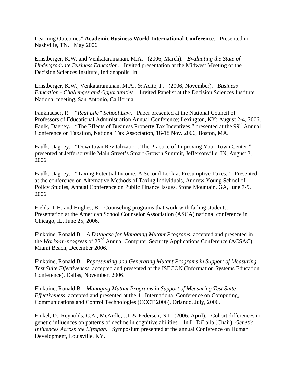Learning Outcomes" **Academic Business World International Conference**. Presented in Nashville, TN. May 2006.

Ernstberger, K.W. and Venkataramanan, M.A. (2006, March). *Evaluating the State of Undergraduate Business Education*. Invited presentation at the Midwest Meeting of the Decision Sciences Institute, Indianapolis, In.

Ernstberger, K.W., Venkataramanan, M.A., & Acito, F. (2006, November). *Business Education - Challenges and Opportunities*. Invited Panelist at the Decision Sciences Institute National meeting, San Antonio, California.

Fankhauser, R. *"Real Life" School Law*. Paper presented at the National Council of Professors of Educational Administration Annual Conference; Lexington, KY; August 2-4, 2006. Faulk, Dagney. "The Effects of Business Property Tax Incentives," presented at the 99<sup>th</sup> Annual Conference on Taxation, National Tax Association, 16-18 Nov. 2006, Boston, MA.

Faulk, Dagney. "Downtown Revitalization: The Practice of Improving Your Town Center," presented at Jeffersonville Main Street's Smart Growth Summit, Jeffersonville, IN, August 3, 2006.

Faulk, Dagney. "Taxing Potential Income: A Second Look at Presumptive Taxes." Presented at the conference on Alternative Methods of Taxing Individuals, Andrew Young School of Policy Studies, Annual Conference on Public Finance Issues, Stone Mountain, GA, June 7-9, 2006.

Fields, T.H. and Hughes, B. Counseling programs that work with failing students. Presentation at the American School Counselor Association (ASCA) national conference in Chicago, IL, June 25, 2006.

Finkbine, Ronald B. *A Database for Managing Mutant Programs*, accepted and presented in the *Works-in-progress* of 22<sup>nd</sup> Annual Computer Security Applications Conference (ACSAC), Miami Beach, December 2006.

Finkbine, Ronald B. *Representing and Generating Mutant Programs in Support of Measuring Test Suite Effectiveness*, accepted and presented at the ISECON (Information Systems Education Conference), Dallas, November, 2006.

Finkbine, Ronald B. *Managing Mutant Programs in Support of Measuring Test Suite Effectiveness*, accepted and presented at the 4<sup>th</sup> International Conference on Computing, Communications and Control Technologies (CCCT 2006), Orlando, July, 2006.

Finkel, D., Reynolds, C.A., McArdle, J.J. & Pedersen, N.L. (2006, April). Cohort differences in genetic influences on patterns of decline in cognitive abilities. In L. DiLalla (Chair), *Genetic Influences Across the Lifespan*. Symposium presented at the annual Conference on Human Development, Louisville, KY.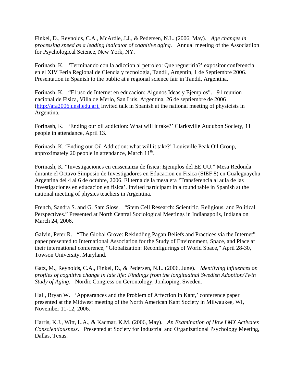Finkel, D., Reynolds, C.A., McArdle, J.J., & Pedersen, N.L. (2006, May). *Age changes in processing speed as a leading indicator of cognitive aging*. Annual meeting of the Associatiion for Psychological Science, New York, NY.

Forinash, K. 'Terminando con la adiccion al petroleo: Que regueriria?' expositor conferencia en el XIV Feria Regional de Ciencia y tecnologia, Tandil, Argentin, 1 de Septiembre 2006. Presentation in Spanish to the public at a regional science fair in Tandil, Argentina.

Forinash, K. "El uso de Internet en educacion: Algunos Ideas y Ejemplos". 91 reunion nacional de Fisica, Villa de Merlo, San Luis, Argentina, 26 de septiembre de 2006 (http://afa2006.unsl.edu.ar). Invited talk in Spanish at the national meeting of physicists in Argentina.

Forinash, K. 'Ending our oil addiction: What will it take?' Clarksville Audubon Society, 11 people in attendance, April 13.

Forinash, K. 'Ending our Oil Addiction: what will it take?' Louisville Peak Oil Group, approximately 20 people in attendance, March  $11<sup>th</sup>$ .

Forinash, K. "Investigaciones en enssenanza de fisica: Ejemplos del EE.UU." Mesa Redonda durante el Octavo Simposio de Investigadores en Educacion en Fisica (SIEF 8) en Gualeguaychu Argentina del 4 al 6 de octubre, 2006. El terna de la mesa era 'Transferencia al aula de las investigaciones en educacion en fisica'. Invited participant in a round table in Spanish at the national meeting of physics teachers in Argentina.

French, Sandra S. and G. Sam Sloss. "Stem Cell Research: Scientific, Religious, and Political Perspectives." Presented at North Central Sociological Meetings in Indianapolis, Indiana on March 24, 2006.

Galvin, Peter R. "The Global Grove: Rekindling Pagan Beliefs and Practices via the Internet" paper presented to International Association for the Study of Environment, Space, and Place at their international conference, "Globalization: Reconfigurings of World Space," April 28-30, Towson University, Maryland.

Gatz, M., Reynolds, C.A., Finkel, D., & Pedersen, N.L. (2006, June). *Identifying influences on profiles of cognitive change in late life: Findings from the longitudinal Swedish Adoption/Twin Study of Aging*. Nordic Congress on Gerontology, Jonkoping, Sweden.

Hall, Bryan W. 'Appearances and the Problem of Affection in Kant,' conference paper presented at the Midwest meeting of the North American Kant Society in Milwaukee, WI, November 11-12, 2006.

Harris, K.J., Witt, L.A., & Kacmar, K.M. (2006, May). *An Examination of How LMX Activates Conscientiousness*. Presented at Society for Industrial and Organizational Psychology Meeting, Dallas, Texas.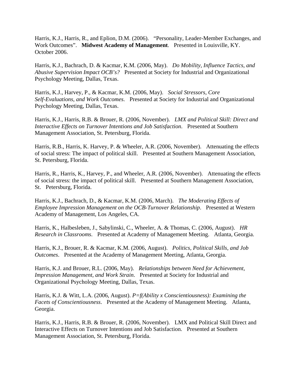Harris, K.J., Harris, R., and Eplion, D.M. (2006). "Personality, Leader-Member Exchanges, and Work Outcomes". **Midwest Academy of Management**. Presented in Louisville, KY. October 2006.

Harris, K.J., Bachrach, D. & Kacmar, K.M. (2006, May). *Do Mobility, Influence Tactics, and Abusive Supervision Impact OCB's?* Presented at Society for Industrial and Organizational Psychology Meeting, Dallas, Texas.

Harris, K.J., Harvey, P., & Kacmar, K.M. (2006, May). *Social Stressors, Core Self-Evaluations, and Work Outcomes*. Presented at Society for Industrial and Organizational Psychology Meeting, Dallas, Texas.

Harris, K.J., Harris, R.B. & Brouer, R. (2006, November). *LMX and Political Skill: Direct and Interactive Effects on Turnover Intentions and Job Satisfaction*. Presented at Southern Management Association, St. Petersburg, Florida.

Harris, R.B., Harris, K. Harvey, P. & Wheeler, A.R. (2006, November). Attenuating the effects of social stress: The impact of political skill. Presented at Southern Management Association, St. Petersburg, Florida.

Harris, R., Harris, K., Harvey, P., and Wheeler, A.R. (2006, November). Attenuating the effects of social stress: the impact of political skill. Presented at Southern Management Association, St. Petersburg, Florida.

Harris, K.J., Bachrach, D., & Kacmar, K.M. (2006, March). *The Moderating Effects of Employee Impression Management on the OCB-Turnover Relationship*. Presented at Western Academy of Management, Los Angeles, CA.

Harris, K., Halbesleben, J., Sabylinski, C., Wheeler, A. & Thomas, C. (2006, August). *HR Research in Classrooms*. Presented at Academy of Management Meeting. Atlanta, Georgia.

Harris, K.J., Brouer, R. & Kacmar, K.M. (2006, August). *Politics, Political Skills, and Job Outcomes*. Presented at the Academy of Management Meeting, Atlanta, Georgia.

Harris, K.J. and Brouer, R.L. (2006, May). *Relationships between Need for Achievement, Impression Management, and Work Strain*. Presented at Society for Industrial and Organizational Psychology Meeting, Dallas, Texas.

Harris, K.J. & Witt, L.A. (2006, August). *P=f(Ability x Conscientiousness): Examining the Facets of Conscientiousness*. Presented at the Academy of Management Meeting. Atlanta, Georgia.

Harris, K.J., Harris, R.B. & Brouer, R. (2006, November). LMX and Political Skill Direct and Interactive Effects on Turnover Intentions and Job Satisfaction. Presented at Southern Management Association, St. Petersburg, Florida.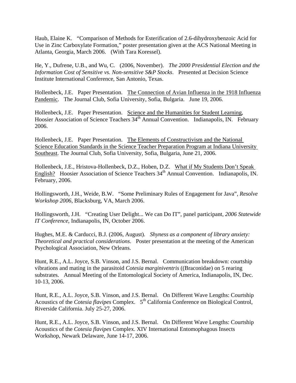Haub, Elaine K. "Comparison of Methods for Esterification of 2.6-dihydroxybenzoic Acid for Use in Zinc Carboxylate Formation," poster presentation given at the ACS National Meeting in Atlanta, Georgia, March 2006. (With Tara Koressel).

He, Y., Dufrene, U.B., and Wu, C. (2006, November). *The 2000 Presidential Election and the Information Cost of Sensitive vs. Non-sensitive S&P Stocks*. Presented at Decision Science Institute International Conference, San Antonio, Texas.

Hollenbeck, J.E. Paper Presentation. The Connection of Avian Influenza in the 1918 Influenza Pandemic. The Journal Club, Sofia University, Sofia, Bulgaria. June 19, 2006.

Hollenbeck, J.E. Paper Presentation. Science and the Humanities for Student Learning, Hoosier Association of Science Teachers 34<sup>th</sup> Annual Convention. Indianapolis, IN. February 2006.

Hollenbeck, J.E. Paper Presentation. The Elements of Constructivism and the National Science Education Standards in the Science Teacher Preparation Program at Indiana University Southeast. The Journal Club, Sofia University, Sofia, Bulgaria, June 21, 2006.

Hollenbeck, J.E., Hristova-Hollenbeck, D.Z., Hoben, D.Z. What if My Students Don't Speak English? Hoosier Association of Science Teachers  $34<sup>th</sup>$  Annual Convention. Indianapolis, IN. February, 2006.

Hollingsworth, J.H., Weide, B.W. "Some Preliminary Rules of Engagement for Java", *Resolve Workshop 2006*, Blacksburg, VA, March 2006.

Hollingsworth, J.H. "Creating User Delight... We can Do IT", panel participant, *2006 Statewide IT Conference*, Indianapolis, IN, October 2006.

Hughes, M.E. & Carducci, B.J. (2006, August). *Shyness as a component of library anxiety: Theoretical and practical considerations*. Poster presentation at the meeting of the American Psychological Association, New Orleans.

Hunt, R.E., A.L. Joyce, S.B. Vinson, and J.S. Bernal. Communication breakdown: courtship vibrations and mating in the parasitoid *Cotesia marginiventris* ((Braconidae) on 5 rearing substrates. Annual Meeting of the Entomological Society of America, Indianapolis, IN, Dec. 10-13, 2006.

Hunt, R.E., A.L. Joyce, S.B. Vinson, and J.S. Bernal. On Different Wave Lengths: Courtship Acoustics of the *Cotesia flavipes* Complex.  $5^{th}$  California Conference on Biological Control, Riverside California. July 25-27, 2006.

Hunt, R.E., A.L. Joyce, S.B. Vinson, and J.S. Bernal. On Different Wave Lengths: Courtship Acoustics of the *Cotesia flavipes* Complex. XIV International Entomophagous Insects Workshop, Newark Delaware, June 14-17, 2006.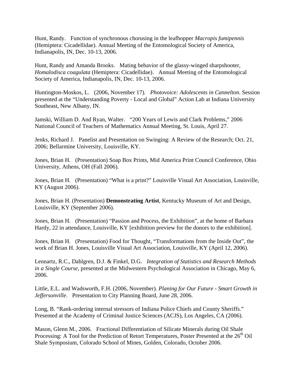Hunt, Randy. Function of synchronous chorusing in the leafhopper *Macropis fumipennis*  (Hemiptera: Cicadellidae). Annual Meeting of the Entomological Society of America, Indianapolis, IN, Dec. 10-13, 2006.

Hunt, Randy and Amanda Brooks. Mating behavior of the glassy-winged sharpshooter, *Homalodisca coagulata* (Hemiptera: Cicadellidae). Annual Meeting of the Entomological Society of America, Indianapolis, IN, Dec. 10-13, 2006.

Huntington-Moskos, L. (2006, November 17). *Photovoice: Adolescents in Cannelton*. Session presented at the "Understanding Poverty - Local and Global" Action Lab at Indiana University Southeast, New Albany, IN.

Jamski, William D. And Ryan, Walter. "200 Years of Lewis and Clark Problems," 2006 National Council of Teachers of Mathematics Annual Meeting, St. Louis, April 27.

Jenks, Richard J. Panelist and Presentation on Swinging: A Review of the Research; Oct. 21, 2006; Bellarmine University, Louisville, KY.

Jones, Brian H. (Presentation) Soap Box Prints, Mid America Print Council Conference, Ohio University, Athens, OH (Fall 2006).

Jones, Brian H. (Presentation) "What is a print?" Louisville Visual Art Association, Louisville, KY (August 2006).

Jones, Brian H. (Presentation) **Demonstrating Artist**, Kentucky Museum of Art and Design, Louisville, KY (September 2006).

Jones, Brian H. (Presentation) "Passion and Process, the Exhibition", at the home of Barbara Hardy, 22 in attendance, Louisville, KY [exhibition preview for the donors to the exhibition].

Jones, Brian H. (Presentation) Food for Thought, "Transformations from the Inside Out", the work of Brian H. Jones, Louisville Visual Art Association, Louisville, KY (April 12, 2006).

Lennartz, R.C., Dahlgren, D.J. & Finkel, D.G. *Integration of Statistics and Research Methods in a Single Course*, presented at the Midwestern Psychological Association in Chicago, May 6, 2006.

Little, E.L. and Wadsworth, F.H. (2006, November). *Planing for Our Future - Smart Growth in Jeffersonville*. Presentation to City Planning Board, June 28, 2006.

Long, B. "Rank-ordering internal stressors of Indiana Police Chiefs and County Sheriffs." Presented at the Academy of Criminal Justice Sciences (ACJS), Los Angeles, CA (2006).

Mason, Glenn M., 2006. Fractional Differentiation of Silicate Minerals during Oil Shale Processing: A Tool for the Prediction of Retort Temperatures, Poster Presented at the  $26<sup>th</sup>$  Oil Shale Symposium, Colorado School of Mines, Golden, Colorado, October 2006.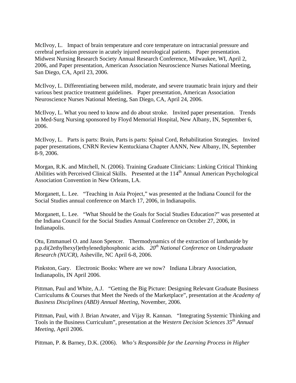McIlvoy, L. Impact of brain temperature and core temperature on intracranial pressure and cerebral perfusion pressure in acutely injured neurological patients. Paper presentation. Midwest Nursing Research Society Annual Research Conference, Milwaukee, WI, April 2, 2006, and Paper presentation, American Association Neuroscience Nurses National Meeting, San Diego, CA, April 23, 2006.

McIlvoy, L. Differentiating between mild, moderate, and severe traumatic brain injury and their various best practice treatment guidelines. Paper presentation, American Association Neuroscience Nurses National Meeting, San Diego, CA, April 24, 2006.

McIlvoy, L. What you need to know and do about stroke. Invited paper presentation. Trends in Med-Surg Nursing sponsored by Floyd Memorial Hospital, New Albany, IN, September 6, 2006.

McIlvoy, L. Parts is parts: Brain, Parts is parts: Spinal Cord, Rehabilitation Strategies. Invited paper presentations, CNRN Review Kentuckiana Chapter AANN, New Albany, IN, September 8-9, 2006.

Morgan, R.K. and Mitchell, N. (2006). Training Graduate Clinicians: Linking Critical Thinking Abilities with Perceived Clinical Skills. Presented at the 114<sup>th</sup> Annual American Psychological Association Convention in New Orleans, LA.

Morganett, L. Lee. "Teaching in Asia Project," was presented at the Indiana Council for the Social Studies annual conference on March 17, 2006, in Indianapolis.

Morganett, L. Lee. "What Should be the Goals for Social Studies Education?" was presented at the Indiana Council for the Social Studies Annual Conference on October 27, 2006, in Indianapolis.

Otu, Emmanuel O. and Jason Spencer. Thermodynamics of the extraction of lanthanide by p.p.di(2ethylhexyl)ethylenediphosphonic acids. *20th National Conference on Undergraduate Research (NUCR)*, Asheville, NC April 6-8, 2006.

Pinkston, Gary. Electronic Books: Where are we now? Indiana Library Association, Indianapolis, IN April 2006.

Pittman, Paul and White, A.J. "Getting the Big Picture: Designing Relevant Graduate Business Curriculums & Courses that Meet the Needs of the Marketplace", presentation at the *Academy of Business Disciplines (ABD) Annual Meeting*, November, 2006.

Pittman, Paul, with J. Brian Atwater, and Vijay R. Kannan. "Integrating Systemic Thinking and Tools in the Business Curriculum", presentation at the *Western Decision Sciences 35th Annual Meeting*, April 2006.

Pittman, P. & Barney, D.K. (2006). *Who's Responsible for the Learning Process in Higher*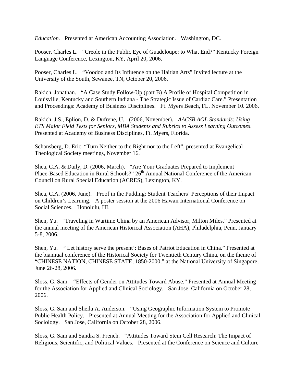*Education*. Presented at American Accounting Association. Washington, DC.

Pooser, Charles L. "Creole in the Public Eye of Guadeloupe: to What End?" Kentucky Foreign Language Conference, Lexington, KY, April 20, 2006.

Pooser, Charles L. "Voodoo and Its Influence on the Haitian Arts" Invited lecture at the University of the South, Sewanee, TN, October 20, 2006.

Rakich, Jonathan. "A Case Study Follow-Up (part B) A Profile of Hospital Competition in Louisville, Kentucky and Southern Indiana - The Strategic Issue of Cardiac Care." Presentation and Proceedings: Academy of Business Disciplines. Ft. Myers Beach, FL. November 10. 2006.

Rakich, J.S., Eplion, D. & Dufrene, U. (2006, November). *AACSB AOL Standards: Using ETS Major Field Tests for Seniors, MBA Students and Rubrics to Assess Learning Outcomes*. Presented at Academy of Business Disciplines, Ft. Myers, Florida.

Schansberg, D. Eric. "Turn Neither to the Right nor to the Left", presented at Evangelical Theological Society meetings, November 16.

Shea, C.A. & Daily, D. (2006, March). "Are Your Graduates Prepared to Implement Place-Based Education in Rural Schools?"  $26<sup>th</sup>$  Annual National Conference of the American Council on Rural Special Education (ACRES), Lexington, KY.

Shea, C.A. (2006, June). Proof in the Pudding: Student Teachers' Perceptions of their Impact on Children's Learning. A poster session at the 2006 Hawaii International Conference on Social Sciences. Honolulu, HI.

Shen, Yu. "Traveling in Wartime China by an American Advisor, Milton Miles." Presented at the annual meeting of the American Historical Association (AHA), Philadelphia, Penn, January 5-8, 2006.

Shen, Yu. "'Let history serve the present': Bases of Patriot Education in China." Presented at the biannual conference of the Historical Society for Twentieth Century China, on the theme of "CHINESE NATION, CHINESE STATE, 1850-2000," at the National University of Singapore, June 26-28, 2006.

Sloss, G. Sam. "Effects of Gender on Attitudes Toward Abuse." Presented at Annual Meeting for the Association for Applied and Clinical Sociology. San Jose, California on October 28, 2006.

Sloss, G. Sam and Sheila A. Anderson. "Using Geographic Information System to Promote Public Health Policy. Presented at Annual Meeting for the Association for Applied and Clinical Sociology. San Jose, California on October 28, 2006.

Sloss, G. Sam and Sandra S. French. "Attitudes Toward Stem Cell Research: The Impact of Religious, Scientific, and Political Values. Presented at the Conference on Science and Culture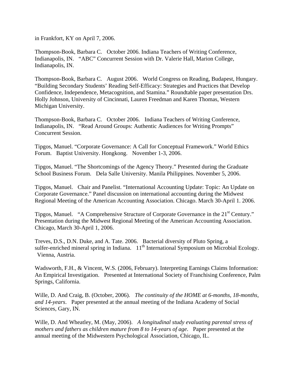in Frankfort, KY on April 7, 2006.

Thompson-Book, Barbara C. October 2006. Indiana Teachers of Writing Conference, Indianapolis, IN. "ABC" Concurrent Session with Dr. Valerie Hall, Marion College, Indianapolis, IN.

Thompson-Book, Barbara C. August 2006. World Congress on Reading, Budapest, Hungary. "Building Secondary Students' Reading Self-Efficacy: Strategies and Practices that Develop Confidence, Independence, Metacognition, and Stamina." Roundtable paper presentation Drs. Holly Johnson, University of Cincinnati, Lauren Freedman and Karen Thomas, Western Michigan University.

Thompson-Book, Barbara C. October 2006. Indiana Teachers of Writing Conference, Indianapolis, IN. "Read Around Groups: Authentic Audiences for Writing Prompts" Concurrent Session.

Tipgos, Manuel. "Corporate Governance: A Call for Conceptual Framework." World Ethics Forum. Baptist University. Hongkong. November 1-3, 2006.

Tipgos, Manuel. "The Shortcomings of the Agency Theory." Presented during the Graduate School Business Forum. Dela Salle University. Manila Philippines. November 5, 2006.

Tipgos, Manuel. Chair and Panelist. "International Accounting Update: Topic: An Update on Corporate Governance." Panel discussion on international accounting during the Midwest Regional Meeting of the American Accounting Association. Chicago. March 30-April 1. 2006.

Tipgos, Manuel. "A Comprehensive Structure of Corporate Governance in the 21<sup>st</sup> Century." Presentation during the Midwest Regional Meeting of the American Accounting Association. Chicago, March 30-April 1, 2006.

Treves, D.S., D.N. Duke, and A. Tate. 2006. Bacterial diversity of Pluto Spring, a sulfer-enriched mineral spring in Indiana. 11<sup>th</sup> International Symposium on Microbial Ecology. Vienna, Austria.

Wadsworth, F.H., & Vincent, W.S. (2006, February). Interpreting Earnings Claims Information: An Empirical Investigation. Presented at International Society of Franchising Conference, Palm Springs, California.

Wille, D. And Craig, B. (October, 2006). *The continuity of the HOME at 6-months, 18-months, and 14-years*. Paper presented at the annual meeting of the Indiana Academy of Social Sciences, Gary, IN.

Wille, D. And Wheatley, M. (May, 2006). *A longitudinal study evaluating parental stress of mothers and fathers as children mature from 8 to 14-years of age*. Paper presented at the annual meeting of the Midwestern Psychological Association, Chicago, IL.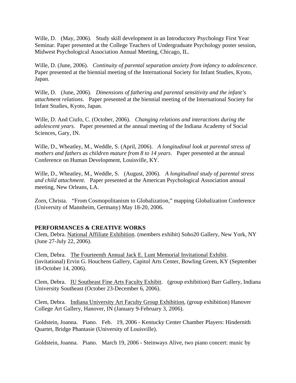Wille, D. (May, 2006). Study skill development in an Introductory Psychology First Year Seminar. Paper presented at the College Teachers of Undergraduate Psychology poster session, Midwest Psychological Association Annual Meeting, Chicago, IL.

Wille, D. (June, 2006). *Continuity of parental separation anxiety from infancy to adolescence*. Paper presented at the biennial meeting of the International Society for Infant Studies, Kyoto, Japan.

Wille, D. (June, 2006). *Dimensions of fathering and parental sensitivity and the infant's attachment relations*. Paper presented at the biennial meeting of the International Society for Infant Studies, Kyoto, Japan.

Wille, D. And Ciufo, C. (October, 2006). *Changing relations and interactions during the adolescent years*. Paper presented at the annual meeting of the Indiana Academy of Social Sciences, Gary, IN.

Wille, D., Wheatley, M., Weddle, S. (April, 2006). *A longitudinal look at parental stress of mothers and fathers as children mature from 8 to 14 years*. Paper presented at the annual Conference on Human Development, Louisville, KY.

Wille, D., Wheatley, M., Weddle, S. (August, 2006). *A longitudinal study of parental stress and child attachment*. Paper presented at the American Psychological Association annual meeting, New Orleans, LA.

Zorn, Christa. "From Cosmopolitanism to Globalization," mapping Globalization Conference (University of Mannheim, Germany) May 18-20, 2006.

# **PERFORMANCES & CREATIVE WORKS**

Clem, Debra. National Affiliate Exhibition. (members exhibit) Soho20 Gallery, New York, NY (June 27-July 22, 2006).

Clem, Debra. The Fourteenth Annual Jack E. Lunt Memorial Invitational Exhibit. (invitational) Ervin G. Houchens Gallery, Capitol Arts Center, Bowling Green, KY (September 18-October 14, 2006).

Clem, Debra. IU Southeast Fine Arts Faculty Exhibit. (group exhibition) Barr Gallery, Indiana University Southeast (October 23-December 6, 2006).

Clem, Debra. Indiana University Art Faculty Group Exhibition, (group exhibition) Hanover College Art Gallery, Hanover, IN (January 9-February 3, 2006).

Goldstein, Joanna. Piano. Feb. 19, 2006 - Kentucky Center Chamber Players: Hindernith Quartet, Bridge Phantasie (University of Louisville).

Goldstein, Joanna. Piano. March 19, 2006 - Steinways Alive, two piano concert: music by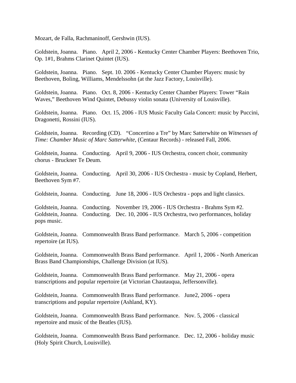Mozart, de Falla, Rachmaninoff, Gershwin (IUS).

Goldstein, Joanna. Piano. April 2, 2006 - Kentucky Center Chamber Players: Beethoven Trio, Op. 1#1, Brahms Clarinet Quintet (IUS).

Goldstein, Joanna. Piano. Sept. 10. 2006 - Kentucky Center Chamber Players: music by Beethoven, Boling, Williams, Mendelssohn (at the Jazz Factory, Louisville).

Goldstein, Joanna. Piano. Oct. 8, 2006 - Kentucky Center Chamber Players: Tower "Rain Waves," Beethoven Wind Quintet, Debussy violin sonata (University of Louisville).

Goldstein, Joanna. Piano. Oct. 15, 2006 - IUS Music Faculty Gala Concert: music by Puccini, Dragonetti, Rossini (IUS).

Goldstein, Joanna. Recording (CD). "Concertino a Tre" by Marc Satterwhite on *Witnesses of Time: Chamber Music of Marc Satterwhite*, (Centaur Records) - released Fall, 2006.

Goldstein, Joanna. Conducting. April 9, 2006 - IUS Orchestra, concert choir, community chorus - Bruckner Te Deum.

Goldstein, Joanna. Conducting. April 30, 2006 - IUS Orchestra - music by Copland, Herbert, Beethoven Sym #7.

Goldstein, Joanna. Conducting. June 18, 2006 - IUS Orchestra - pops and light classics.

Goldstein, Joanna. Conducting. November 19, 2006 - IUS Orchestra - Brahms Sym #2. Goldstein, Joanna. Conducting. Dec. 10, 2006 - IUS Orchestra, two performances, holiday pops music.

Goldstein, Joanna. Commonwealth Brass Band performance. March 5, 2006 - competition repertoire (at IUS).

Goldstein, Joanna. Commonwealth Brass Band performance. April 1, 2006 - North American Brass Band Championships, Challenge Division (at IUS).

Goldstein, Joanna. Commonwealth Brass Band performance. May 21, 2006 - opera transcriptions and popular repertoire (at Victorian Chautauqua, Jeffersonville).

Goldstein, Joanna. Commonwealth Brass Band performance. June2, 2006 - opera transcriptions and popular repertoire (Ashland, KY).

Goldstein, Joanna. Commonwealth Brass Band performance. Nov. 5, 2006 - classical repertoire and music of the Beatles (IUS).

Goldstein, Joanna. Commonwealth Brass Band performance. Dec. 12, 2006 - holiday music (Holy Spirit Church, Louisville).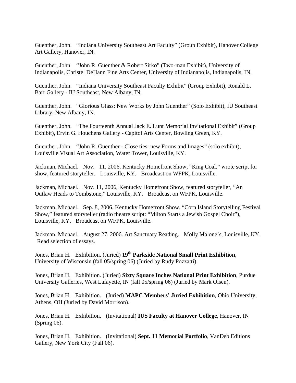Guenther, John. "Indiana University Southeast Art Faculty" (Group Exhibit), Hanover College Art Gallery, Hanover, IN.

Guenther, John. "John R. Guenther & Robert Sirko" (Two-man Exhibit), University of Indianapolis, Christel DeHann Fine Arts Center, University of Indianapolis, Indianapolis, IN.

Guenther, John. "Indiana University Southeast Faculty Exhibit" (Group Exhibit), Ronald L. Barr Gallery - IU Southeast, New Albany, IN.

Guenther, John. "Glorious Glass: New Works by John Guenther" (Solo Exhibit), IU Southeast Library, New Albany, IN.

Guenther, John. "The Fourteenth Annual Jack E. Lunt Memorial Invitational Exhibit" (Group Exhibit), Ervin G. Houchens Gallery - Capitol Arts Center, Bowling Green, KY.

Guenther, John. "John R. Guenther - Close ties: new Forms and Images" (solo exhibit), Louisville Visual Art Association, Water Tower, Louisville, KY.

Jackman, Michael. Nov. 11, 2006, Kentucky Homefront Show, "King Coal," wrote script for show, featured storyteller. Louisville, KY. Broadcast on WFPK, Louisville.

Jackman, Michael. Nov. 11, 2006, Kentucky Homefront Show, featured storyteller, "An Outlaw Heads to Tombstone," Louisville, KY. Broadcast on WFPK, Louisville.

Jackman, Michael. Sep. 8, 2006, Kentucky Homefront Show, "Corn Island Storytelling Festival Show," featured storyteller (radio theatre script: "Milton Starts a Jewish Gospel Choir"), Louisville, KY. Broadcast on WFPK, Louisville.

Jackman, Michael. August 27, 2006. Art Sanctuary Reading. Molly Malone's, Louisville, KY. Read selection of essays.

Jones, Brian H. Exhibition. (Juried) **19th Parkside National Small Print Exhibition**, University of Wisconsin (fall 05/spring 06) (Juried by Rudy Pozzatti).

Jones, Brian H. Exhibition. (Juried) **Sixty Square Inches National Print Exhibition**, Purdue University Galleries, West Lafayette, IN (fall 05/spring 06) (Juried by Mark Olsen).

Jones, Brian H. Exhibition. (Juried) **MAPC Members' Juried Exhibition**, Ohio University, Athens, OH (Juried by David Morrison).

Jones, Brian H. Exhibition. (Invitational) **IUS Faculty at Hanover College**, Hanover, IN (Spring 06).

Jones, Brian H. Exhibition. (Invitational) **Sept. 11 Memorial Portfolio**, VanDeb Editions Gallery, New York City (Fall 06).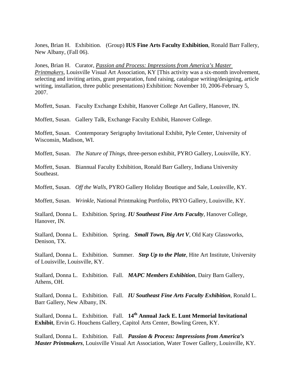Jones, Brian H. Exhibition. (Group) **IUS Fine Arts Faculty Exhibition**, Ronald Barr Fallery, New Albany, (Fall 06).

Jones, Brian H. Curator, *Passion and Process: Impressions from America's Master Printmakers*, Louisville Visual Art Association, KY [This activity was a six-month involvement, selecting and inviting artists, grant preparation, fund raising, catalogue writing/designing, article writing, installation, three public presentations) Exhibition: November 10, 2006-February 5, 2007.

Moffett, Susan. Faculty Exchange Exhibit, Hanover College Art Gallery, Hanover, IN.

Moffett, Susan. Gallery Talk, Exchange Faculty Exhibit, Hanover College.

Moffett, Susan. Contemporary Serigraphy Invitational Exhibit, Pyle Center, University of Wisconsin, Madison, WI.

Moffett, Susan. *The Nature of Things*, three-person exhibit, PYRO Gallery, Louisville, KY.

Moffett, Susan. Biannual Faculty Exhibition, Ronald Barr Gallery, Indiana University Southeast.

Moffett, Susan. *Off the Walls*, PYRO Gallery Holiday Boutique and Sale, Louisville, KY.

Moffett, Susan. *Wrinkle*, National Printmaking Portfolio, PRYO Gallery, Louisville, KY.

Stallard, Donna L. Exhibition. Spring. *IU Southeast Fine Arts Faculty*, Hanover College, Hanover, IN.

Stallard, Donna L. Exhibition. Spring. *Small Town, Big Art V*, Old Katy Glassworks, Denison, TX.

Stallard, Donna L. Exhibition. Summer. *Step Up to the Plate*, Hite Art Institute, University of Louisville, Louisville, KY.

Stallard, Donna L. Exhibition. Fall. *MAPC Members Exhibition*, Dairy Barn Gallery, Athens, OH.

Stallard, Donna L. Exhibition. Fall. *IU Southeast Fine Arts Faculty Exhibition*, Ronald L. Barr Gallery, New Albany, IN.

Stallard, Donna L. Exhibition. Fall. **14th Annual Jack E. Lunt Memorial Invitational Exhibit**, Ervin G. Houchens Gallery, Capitol Arts Center, Bowling Green, KY.

Stallard, Donna L. Exhibition. Fall. *Passion & Process: Impressions from America's Master Printmakers*, Louisville Visual Art Association, Water Tower Gallery, Louisville, KY.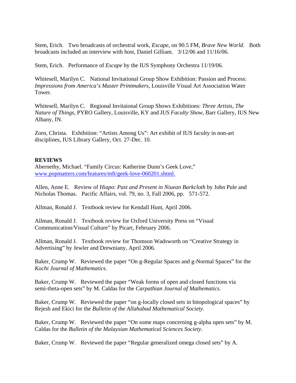Stem, Erich. Two broadcasts of orchestral work, *Escape*, on 90.5 FM, *Brave New World*. Both broadcasts included an interview with host, Daniel Gilliam. 3/12/06 and 11/16/06.

Stem, Erich. Performance of *Escape* by the IUS Symphony Orchestra 11/19/06.

Whitesell, Marilyn C. National Invitational Group Show Exhibition: Passion and Process: *Impressions from America's Master Printmakers*, Louisville Visual Art Association Water Tower.

Whitesell, Marilyn C. Regional Invitaional Group Shows Exhibitions: *Three Artists, The Nature of Things*, PYRO Gallery, Louisville, KY and *IUS Faculty Show*, Barr Gallery, IUS New Albany, IN.

Zorn, Christa. Exhibition: "Artists Among Us": Art exhibit of IUS faculty in non-art disciplines, IUS Library Gallery, Oct. 27-Dec. 10.

## **REVIEWS**

Abernethy, Michael. "Family Circus: Katherine Dunn's Geek Love," www.popmatters.com/features/mft/geek-love-060201.shtml.

Allen, Anne E. Review of *Hiapo*: *Past and Present in Niuean Barkcloth* by John Pule and Nicholas Thomas. Pacific Affairs, vol. 79, no. 3, Fall 2006, pp. 571-572.

Allman, Ronald J. Textbook review for Kendall Hunt, April 2006.

Allman, Ronald J. Textbook review for Oxford University Press on "Visual Communication/Visual Culture" by Picart, February 2006.

Allman, Ronald J. Textbook review for Thomson Wadsworth on "Creative Strategy in Advertising" by Jewler and Drewniany, April 2006.

Baker, Crump W. Reviewed the paper "On g-Regular Spaces and g-Normal Spaces" for the *Kochi Journal of Mathematics*.

Baker, Crump W. Reviewed the paper "Weak forms of open and closed functions via semi-theta-open sets" by M. Caldas for the *Carpathian Journal of Mathematics*.

Baker, Crump W. Reviewed the paper "on g-locally closed sets in bitopological spaces" by Rejesh and Ekici for the *Bulletin of the Allahabad Mathematical Society*.

Baker, Crump W. Reviewed the paper "On some maps concerning g-alpha open sets" by M. Caldas for the *Bulletin of the Malaysian Mathematical Sciences Society*.

Baker, Crump W. Reviewed the paper "Regular generalized omega closed sets" by A.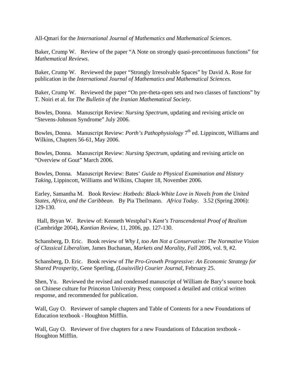All-Qmari for the *International Journal of Mathematics and Mathematical Sciences*.

Baker, Crump W. Review of the paper "A Note on strongly quasi-precontinuous functions" for *Mathematical Reviews*.

Baker, Crump W. Reviewed the paper "Strongly Irresolvable Spaces" by David A. Rose for publication in the *International Journal of Mathematics and Mathematical Sciences.*

Baker, Crump W. Reviewed the paper "On pre-theta-open sets and two classes of functions" by T. Noiri et al. for *The Bulletin of the Iranian Mathematical Society*.

Bowles, Donna. Manuscript Review: *Nursing Spectrum*, updating and revising article on "Stevens-Johnson Syndrome" July 2006.

Bowles, Donna. Manuscript Review: *Porth's Pathophysiology* 7<sup>th</sup> ed. Lippincott, Williams and Wilkins, Chapters 56-61, May 2006.

Bowles, Donna. Manuscript Review: *Nursing Spectrum*, updating and revising article on "Overview of Gout" March 2006.

Bowles, Donna. Manuscript Review: Bates' *Guide to Physical Examination and History Taking*, Lippincott, Williams and Wilkins, Chapter 18, November 2006.

Earley, Samantha M. Book Review: *Hotbeds: Black-White Love in Novels from the United States, Africa, and the Caribbean*. By Pia Theilmann. *Africa Today*. 3.52 (Spring 2006): 129-130.

 Hall, Bryan W. Review of: Kenneth Westphal's *Kant's Transcendental Proof of Realism*  (Cambridge 2004), *Kantian Review*, 11, 2006, pp. 127-130.

Schansberg, D. Eric. Book review of *Why I, too Am Not a Conservative: The Normative Vision of Classical Liberalism*, James Buchanan, *Markets and Morality, Fall 2006*, vol. 9, #2.

Schansberg, D. Eric. Book review of *The Pro-Growth Progressive: An Economic Strategy for Shared Prosperity*, Gene Sperling, *(Louisville) Courier Journal*, February 25.

Shen, Yu. Reviewed the revised and condensed manuscript of William de Bary's source book on Chinese culture for Princeton University Press; composed a detailed and critical written response, and recommended for publication.

Wall, Guy O. Reviewer of sample chapters and Table of Contents for a new Foundations of Education textbook - Houghton Mifflin.

Wall, Guy O. Reviewer of five chapters for a new Foundations of Education textbook -Houghton Mifflin.